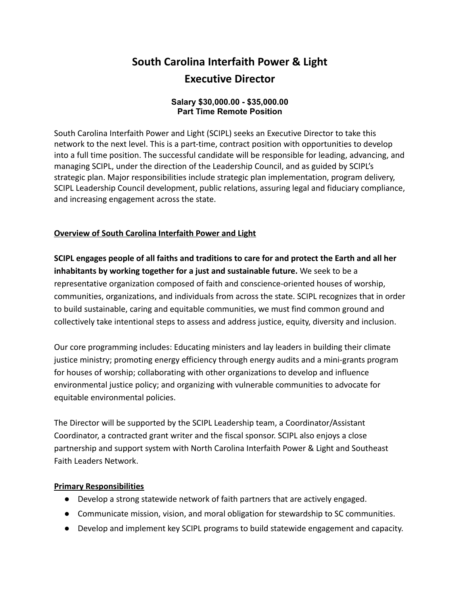# **South Carolina Interfaith Power & Light Executive Director**

#### **Salary \$30,000.00 - \$35,000.00 Part Time Remote Position**

South Carolina Interfaith Power and Light (SCIPL) seeks an Executive Director to take this network to the next level. This is a part-time, contract position with opportunities to develop into a full time position. The successful candidate will be responsible for leading, advancing, and managing SCIPL, under the direction of the Leadership Council, and as guided by SCIPL's strategic plan. Major responsibilities include strategic plan implementation, program delivery, SCIPL Leadership Council development, public relations, assuring legal and fiduciary compliance, and increasing engagement across the state.

## **Overview of South Carolina Interfaith Power and Light**

**SCIPL engages people of all faiths and traditions to care for and protect the Earth and all her inhabitants by working together for a just and sustainable future.** We seek to be a representative organization composed of faith and conscience-oriented houses of worship, communities, organizations, and individuals from across the state. SCIPL recognizes that in order to build sustainable, caring and equitable communities, we must find common ground and collectively take intentional steps to assess and address justice, equity, diversity and inclusion.

Our core programming includes: Educating ministers and lay leaders in building their climate justice ministry; promoting energy efficiency through energy audits and a mini-grants program for houses of worship; collaborating with other organizations to develop and influence environmental justice policy; and organizing with vulnerable communities to advocate for equitable environmental policies.

The Director will be supported by the SCIPL Leadership team, a Coordinator/Assistant Coordinator, a contracted grant writer and the fiscal sponsor. SCIPL also enjoys a close partnership and support system with North Carolina Interfaith Power & Light and Southeast Faith Leaders Network.

## **Primary Responsibilities**

- Develop a strong statewide network of faith partners that are actively engaged.
- Communicate mission, vision, and moral obligation for stewardship to SC communities.
- Develop and implement key SCIPL programs to build statewide engagement and capacity.